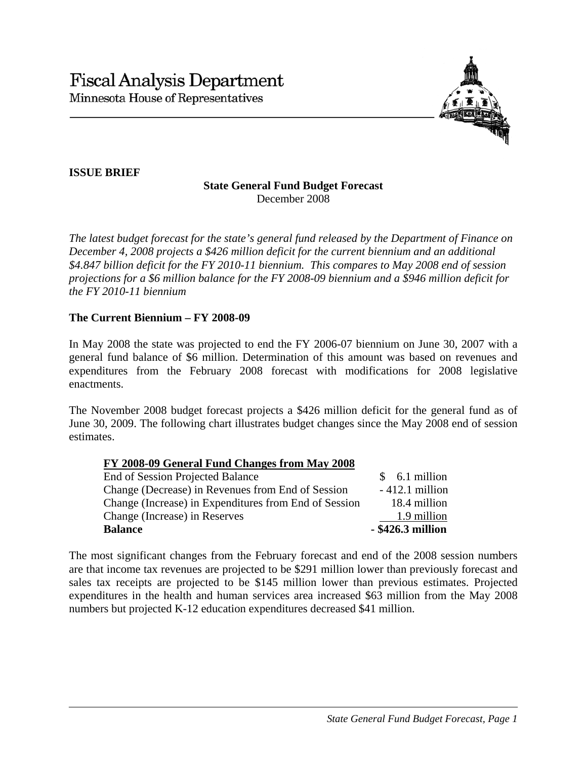

# **ISSUE BRIEF**

#### **State General Fund Budget Forecast**  December 2008

*The latest budget forecast for the state's general fund released by the Department of Finance on December 4, 2008 projects a \$426 million deficit for the current biennium and an additional \$4.847 billion deficit for the FY 2010-11 biennium. This compares to May 2008 end of session projections for a \$6 million balance for the FY 2008-09 biennium and a \$946 million deficit for the FY 2010-11 biennium* 

## **The Current Biennium – FY 2008-09**

In May 2008 the state was projected to end the FY 2006-07 biennium on June 30, 2007 with a general fund balance of \$6 million. Determination of this amount was based on revenues and expenditures from the February 2008 forecast with modifications for 2008 legislative enactments.

The November 2008 budget forecast projects a \$426 million deficit for the general fund as of June 30, 2009. The following chart illustrates budget changes since the May 2008 end of session estimates.

## **FY 2008-09 General Fund Changes from May 2008**

| <b>Balance</b>                                        | - \$426.3 million |
|-------------------------------------------------------|-------------------|
| Change (Increase) in Reserves                         | 1.9 million       |
| Change (Increase) in Expenditures from End of Session | 18.4 million      |
| Change (Decrease) in Revenues from End of Session     | $-412.1$ million  |
| End of Session Projected Balance                      | $$6.1$ million    |

The most significant changes from the February forecast and end of the 2008 session numbers are that income tax revenues are projected to be \$291 million lower than previously forecast and sales tax receipts are projected to be \$145 million lower than previous estimates. Projected expenditures in the health and human services area increased \$63 million from the May 2008 numbers but projected K-12 education expenditures decreased \$41 million.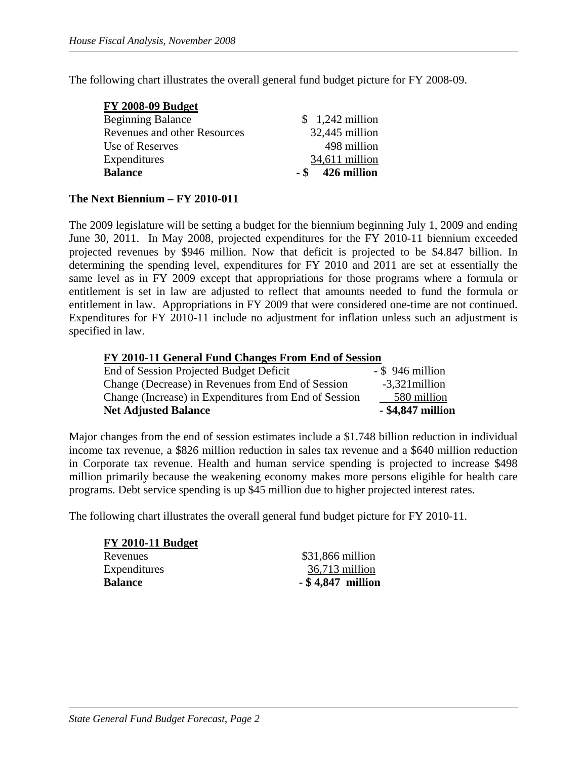The following chart illustrates the overall general fund budget picture for FY 2008-09.

| <b>FY 2008-09 Budget</b>     |                     |
|------------------------------|---------------------|
| <b>Beginning Balance</b>     | $$1,242$ million    |
| Revenues and other Resources | 32,445 million      |
| Use of Reserves              | 498 million         |
| Expenditures                 | 34,611 million      |
| <b>Balance</b>               | 426 million<br>- \$ |
|                              |                     |

## **The Next Biennium – FY 2010-011**

The 2009 legislature will be setting a budget for the biennium beginning July 1, 2009 and ending June 30, 2011. In May 2008, projected expenditures for the FY 2010-11 biennium exceeded projected revenues by \$946 million. Now that deficit is projected to be \$4.847 billion. In determining the spending level, expenditures for FY 2010 and 2011 are set at essentially the same level as in FY 2009 except that appropriations for those programs where a formula or entitlement is set in law are adjusted to reflect that amounts needed to fund the formula or entitlement in law. Appropriations in FY 2009 that were considered one-time are not continued. Expenditures for FY 2010-11 include no adjustment for inflation unless such an adjustment is specified in law.

#### **FY 2010-11 General Fund Changes From End of Session**

| <b>Net Adjusted Balance</b>                           | - \$4,847 million  |
|-------------------------------------------------------|--------------------|
| Change (Increase) in Expenditures from End of Session | 580 million        |
| Change (Decrease) in Revenues from End of Session     | $-3,321$ million   |
| End of Session Projected Budget Deficit               | $-$ \$ 946 million |

Major changes from the end of session estimates include a \$1.748 billion reduction in individual income tax revenue, a \$826 million reduction in sales tax revenue and a \$640 million reduction in Corporate tax revenue. Health and human service spending is projected to increase \$498 million primarily because the weakening economy makes more persons eligible for health care programs. Debt service spending is up \$45 million due to higher projected interest rates.

The following chart illustrates the overall general fund budget picture for FY 2010-11.

| \$31,866 million    |
|---------------------|
| $36,713$ million    |
| $-$ \$4,847 million |
|                     |